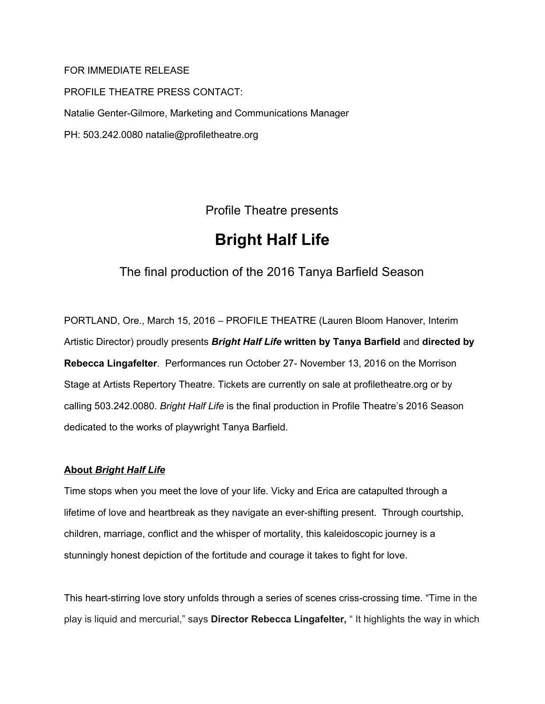# FOR IMMEDIATE RELEASE

PROFILE THEATRE PRESS CONTACT: Natalie Genter-Gilmore, Marketing and Communications Manager PH: 503.242.0080 natalie@profiletheatre.org

Profile Theatre presents

# **Bright Half Life**

# The final production of the 2016 Tanya Barfield Season

PORTLAND, Ore., March 15, 2016 – PROFILE THEATRE (Lauren Bloom Hanover, Interim Artistic Director) proudly presents *Bright Half Life* **written by Tanya Barfield** and **directed by Rebecca Lingafelter**. Performances run October 27- November 13, 2016 on the Morrison Stage at Artists Repertory Theatre. Tickets are currently on sale at profiletheatre.org or by calling 503.242.0080. *Bright Half Life* is the final production in Profile Theatre's 2016 Season dedicated to the works of playwright Tanya Barfield.

# **About** *Bright Half Life*

Time stops when you meet the love of your life. Vicky and Erica are catapulted through a lifetime of love and heartbreak as they navigate an ever-shifting present. Through courtship, children, marriage, conflict and the whisper of mortality, this kaleidoscopic journey is a stunningly honest depiction of the fortitude and courage it takes to fight for love.

This heart-stirring love story unfolds through a series of scenes criss-crossing time. "Time in the play is liquid and mercurial," says **Director Rebecca Lingafelter,** " It highlights the way in which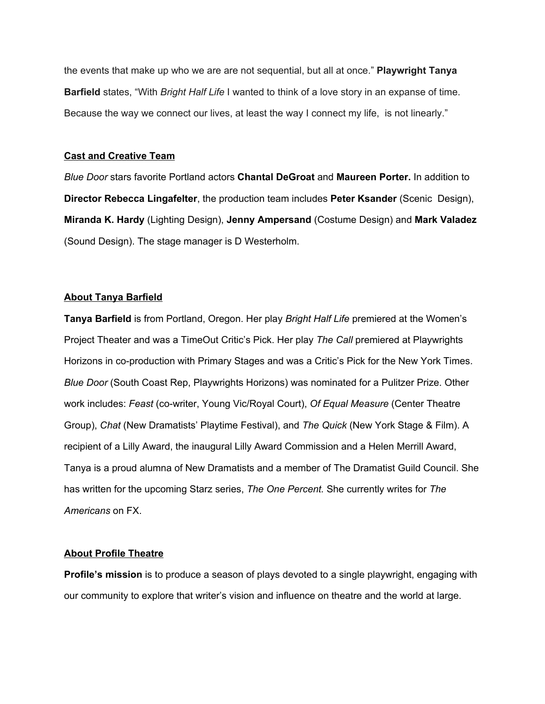the events that make up who we are are not sequential, but all at once." **Playwright Tanya Barfield** states, "With *Bright Half Life* I wanted to think of a love story in an expanse of time. Because the way we connect our lives, at least the way I connect my life, is not linearly."

# **Cast and Creative Team**

*Blue Door* stars favorite Portland actors **Chantal DeGroat** and **Maureen Porter.** In addition to **Director Rebecca Lingafelter**, the production team includes **Peter Ksander** (Scenic Design), **Miranda K. Hardy** (Lighting Design), **Jenny Ampersand** (Costume Design) and **Mark Valadez** (Sound Design). The stage manager is D Westerholm.

#### **About Tanya Barfield**

**Tanya Barfield** is from Portland, Oregon. Her play *Bright Half Life* premiered at the Women's Project Theater and was a TimeOut Critic's Pick. Her play *The Call* premiered at Playwrights Horizons in co-production with Primary Stages and was a Critic's Pick for the New York Times. *Blue Door* (South Coast Rep, Playwrights Horizons) was nominated for a Pulitzer Prize. Other work includes: *Feast* (co-writer, Young Vic/Royal Court), *Of Equal Measure* (Center Theatre Group), *Chat* (New Dramatists' Playtime Festival), and *The Quick* (New York Stage & Film). A recipient of a Lilly Award, the inaugural Lilly Award Commission and a Helen Merrill Award, Tanya is a proud alumna of New Dramatists and a member of The Dramatist Guild Council. She has written for the upcoming Starz series, *The One Percent.* She currently writes for *The Americans* on FX.

# **About Profile Theatre**

**Profile's mission** is to produce a season of plays devoted to a single playwright, engaging with our community to explore that writer's vision and influence on theatre and the world at large.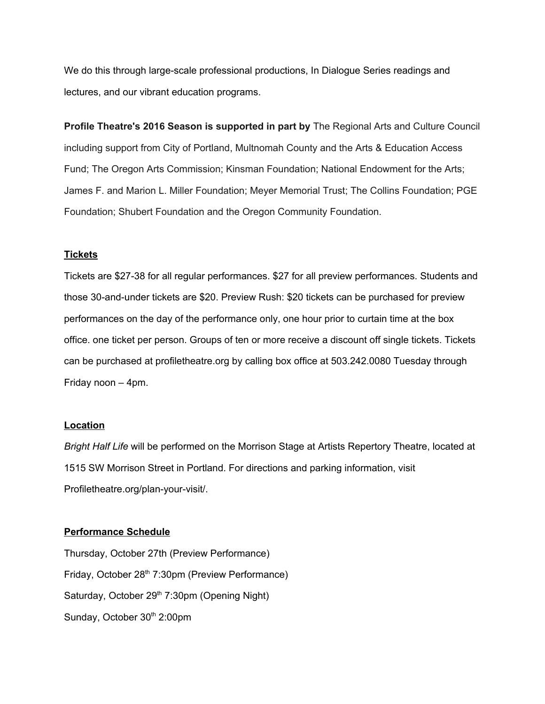We do this through large-scale professional productions, In Dialogue Series readings and lectures, and our vibrant education programs.

**Profile Theatre's 2016 Season is supported in part by** The Regional Arts and Culture Council including support from City of Portland, Multnomah County and the Arts & Education Access Fund; The Oregon Arts Commission; Kinsman Foundation; National Endowment for the Arts; James F. and Marion L. Miller Foundation; Meyer Memorial Trust; The Collins Foundation; PGE Foundation; Shubert Foundation and the Oregon Community Foundation.

# **Tickets**

Tickets are \$27-38 for all regular performances. \$27 for all preview performances. Students and those 30-and-under tickets are \$20. Preview Rush: \$20 tickets can be purchased for preview performances on the day of the performance only, one hour prior to curtain time at the box office. one ticket per person. Groups of ten or more receive a discount off single tickets. Tickets can be purchased at profiletheatre.org by calling box office at 503.242.0080 Tuesday through Friday noon – 4pm.

#### **Location**

*Bright Half Life* will be performed on the Morrison Stage at Artists Repertory Theatre, located at 1515 SW Morrison Street in Portland. For directions and parking information, visit Profiletheatre.org/plan-your-visit/.

#### **Performance Schedule**

Thursday, October 27th (Preview Performance) Friday, October 28<sup>th</sup> 7:30pm (Preview Performance) Saturday, October 29<sup>th</sup> 7:30pm (Opening Night) Sunday, October 30<sup>th</sup> 2:00pm